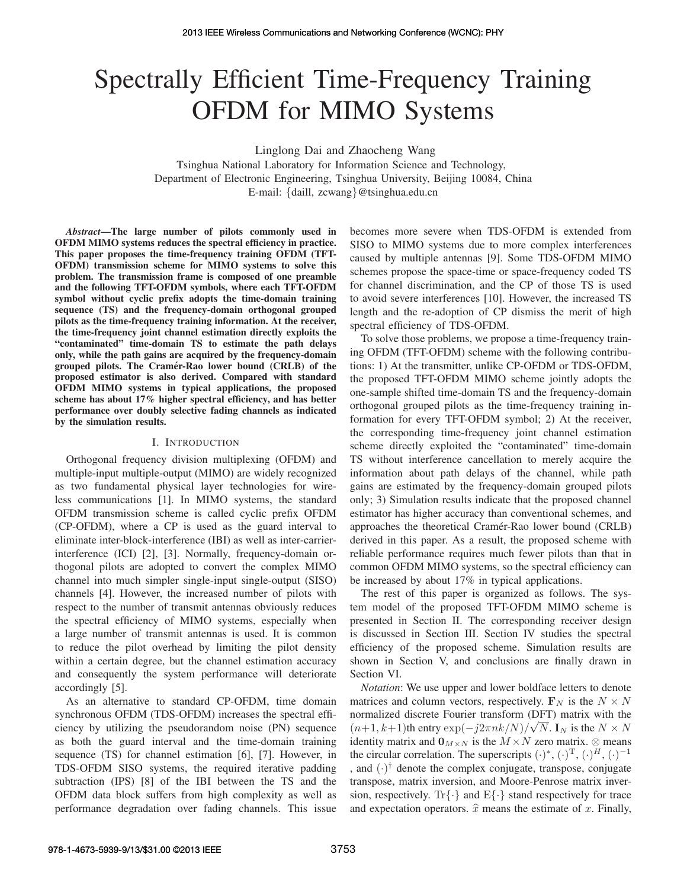# Spectrally Efficient Time-Frequency Training OFDM for MIMO Systems

Linglong Dai and Zhaocheng Wang

Tsinghua National Laboratory for Information Science and Technology, Department of Electronic Engineering, Tsinghua University, Beijing 10084, China E-mail: {daill, zcwang}@tsinghua.edu.cn

*Abstract*—The large number of pilots commonly used in OFDM MIMO systems reduces the spectral efficiency in practice. This paper proposes the time-frequency training OFDM (TFT-OFDM) transmission scheme for MIMO systems to solve this problem. The transmission frame is composed of one preamble and the following TFT-OFDM symbols, where each TFT-OFDM symbol without cyclic prefix adopts the time-domain training sequence (TS) and the frequency-domain orthogonal grouped pilots as the time-frequency training information. At the receiver, the time-frequency joint channel estimation directly exploits the "contaminated" time-domain TS to estimate the path delays only, while the path gains are acquired by the frequency-domain grouped pilots. The Cramer-Rao lower bound (CRLB) of the ´ proposed estimator is also derived. Compared with standard OFDM MIMO systems in typical applications, the proposed scheme has about 17% higher spectral efficiency, and has better performance over doubly selective fading channels as indicated by the simulation results.

#### I. INTRODUCTION

Orthogonal frequency division multiplexing (OFDM) and multiple-input multiple-output (MIMO) are widely recognized as two fundamental physical layer technologies for wireless communications [1]. In MIMO systems, the standard OFDM transmission scheme is called cyclic prefix OFDM (CP-OFDM), where a CP is used as the guard interval to eliminate inter-block-interference (IBI) as well as inter-carrierinterference (ICI) [2], [3]. Normally, frequency-domain orthogonal pilots are adopted to convert the complex MIMO channel into much simpler single-input single-output (SISO) channels [4]. However, the increased number of pilots with respect to the number of transmit antennas obviously reduces the spectral efficiency of MIMO systems, especially when a large number of transmit antennas is used. It is common to reduce the pilot overhead by limiting the pilot density within a certain degree, but the channel estimation accuracy and consequently the system performance will deteriorate accordingly [5].

As an alternative to standard CP-OFDM, time domain synchronous OFDM (TDS-OFDM) increases the spectral efficiency by utilizing the pseudorandom noise (PN) sequence as both the guard interval and the time-domain training sequence (TS) for channel estimation [6], [7]. However, in TDS-OFDM SISO systems, the required iterative padding subtraction (IPS) [8] of the IBI between the TS and the OFDM data block suffers from high complexity as well as performance degradation over fading channels. This issue becomes more severe when TDS-OFDM is extended from SISO to MIMO systems due to more complex interferences caused by multiple antennas [9]. Some TDS-OFDM MIMO schemes propose the space-time or space-frequency coded TS for channel discrimination, and the CP of those TS is used to avoid severe interferences [10]. However, the increased TS length and the re-adoption of CP dismiss the merit of high spectral efficiency of TDS-OFDM.

To solve those problems, we propose a time-frequency training OFDM (TFT-OFDM) scheme with the following contributions: 1) At the transmitter, unlike CP-OFDM or TDS-OFDM, the proposed TFT-OFDM MIMO scheme jointly adopts the one-sample shifted time-domain TS and the frequency-domain orthogonal grouped pilots as the time-frequency training information for every TFT-OFDM symbol; 2) At the receiver, the corresponding time-frequency joint channel estimation scheme directly exploited the "contaminated" time-domain TS without interference cancellation to merely acquire the information about path delays of the channel, while path gains are estimated by the frequency-domain grouped pilots only; 3) Simulation results indicate that the proposed channel estimator has higher accuracy than conventional schemes, and approaches the theoretical Cramer-Rao lower bound (CRLB) ´ derived in this paper. As a result, the proposed scheme with reliable performance requires much fewer pilots than that in common OFDM MIMO systems, so the spectral efficiency can be increased by about 17% in typical applications.

The rest of this paper is organized as follows. The system model of the proposed TFT-OFDM MIMO scheme is presented in Section II. The corresponding receiver design is discussed in Section III. Section IV studies the spectral efficiency of the proposed scheme. Simulation results are shown in Section V, and conclusions are finally drawn in Section VI.

*Notation*: We use upper and lower boldface letters to denote matrices and column vectors, respectively.  $\mathbf{F}_N$  is the  $N \times N$ normalized discrete Fourier transform (DFT) matrix with the  $(n+1, k+1)$ th entry  $\exp(-j2\pi nk/N)/\sqrt{N}$ . I<sub>N</sub> is the  $N \times N$ identity matrix and  $\mathbf{0}_{M \times N}$  is the  $M \times N$  zero matrix.  $\otimes$  means the circular correlation. The superscripts  $(\cdot)^*, (\cdot)^T, (\cdot)^H, (\cdot)^{-1}$ and  $(\cdot)^\dagger$  denote the complex conjugate, transpose, conjugate transpose, matrix inversion, and Moore-Penrose matrix inversion, respectively. Tr{ $\cdot$ } and E{ $\cdot$ } stand respectively for trace and expectation operators.  $\hat{x}$  means the estimate of x. Finally,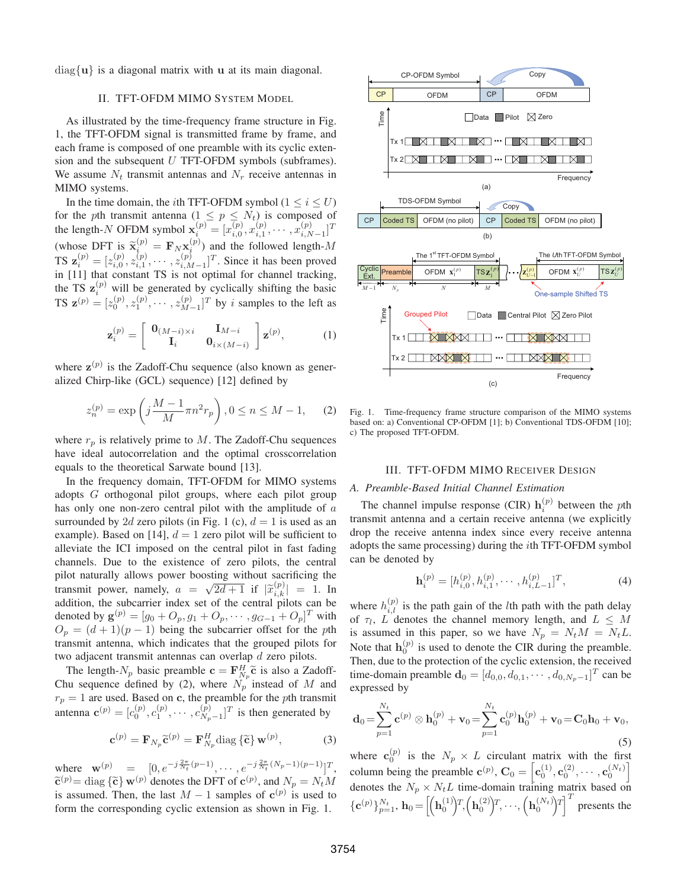diag{**u**} is a diagonal matrix with **u** at its main diagonal.

## II. TFT-OFDM MIMO SYSTEM MODEL

As illustrated by the time-frequency frame structure in Fig. 1, the TFT-OFDM signal is transmitted frame by frame, and each frame is composed of one preamble with its cyclic extension and the subsequent  $U$  TFT-OFDM symbols (subframes). We assume  $N_t$  transmit antennas and  $N_r$  receive antennas in MIMO systems.

In the time domain, the *i*th TFT-OFDM symbol ( $1 \le i \le U$ ) for the pth transmit antenna  $(1 \le p \le N_t)$  is composed of the length-N OFDM symbol  $\mathbf{x}_i^{(p)} = [x_{i,0}^{(p)}, x_{i,1}^{(p)}, \cdots, x_{i,N-1}^{(p)}]^T$ (whose DFT is  $\tilde{\mathbf{x}}_i^{(p)} = \mathbf{F}_N \mathbf{x}_i^{(p)}$ ) and the followed length-M<br>TS  $\mathbf{z}_i^{(p)} = [z_{i,0}^{(p)}, z_{i,1}^{(p)}, \cdots, z_{i,M-1}^{(p)}]^T$ . Since it has been proved<br>in [11] that constant TS is not optimal for channel tracking in [11] that constant TS is not optimal for channel tracking, the TS  $\mathbf{z}_i^{(p)}$  will be generated by cyclically shifting the basic<br>  $\mathbf{z} = \mathbf{z}_i^{(p)} - \mathbf{z}_i^{(p)}$   $\mathbf{z}_i^{(p)} = \mathbf{z}_i^{(p)}$  if by a samples to the left as **TS**  $\mathbf{z}^{(p)} = [z_0^{(p)}, z_1^{(p)}, \cdots, z_{M-1}^{(p)}]^T$  by *i* samples to the left as

$$
\mathbf{z}_{i}^{(p)} = \begin{bmatrix} \mathbf{0}_{(M-i)\times i} & \mathbf{I}_{M-i} \\ \mathbf{I}_{i} & \mathbf{0}_{i\times(M-i)} \end{bmatrix} \mathbf{z}^{(p)},
$$
(1)

where  $z^{(p)}$  is the Zadoff-Chu sequence (also known as generalized Chirp-like (GCL) sequence) [12] defined by

$$
z_n^{(p)} = \exp\left(j\frac{M-1}{M}\pi n^2 r_p\right), 0 \le n \le M - 1,\tag{2}
$$

where  $r_p$  is relatively prime to M. The Zadoff-Chu sequences have ideal autocorrelation and the optimal crosscorrelation equals to the theoretical Sarwate bound [13].

In the frequency domain, TFT-OFDM for MIMO systems adopts G orthogonal pilot groups, where each pilot group has only one non-zero central pilot with the amplitude of a surrounded by 2d zero pilots (in Fig. 1 (c),  $d = 1$  is used as an example). Based on [14],  $d = 1$  zero pilot will be sufficient to alleviate the ICI imposed on the central pilot in fast fading channels. Due to the existence of zero pilots, the central pilot naturally allows power boosting without sacrificing the transmit power, namely,  $a = \sqrt{2d+1}$  if  $|\tilde{x}_{i,k}^{(p)}| = 1$ . In addition, the subcarrier index set of the central pilots can be denoted by  $\mathbf{g}^{(p)} = [g_0 + O_p, g_1 + O_p, \dots, g_{G-1} + O_p]^T$  with  $O_p = (d+1)(p-1)$  being the subcarrier offset for the pth transmit antenna, which indicates that the grouped pilots for two adjacent transmit antennas can overlap d zero pilots.

The length- $N_p$  basic preamble  $\mathbf{c} = \mathbf{F}_{N_p}^H \tilde{\mathbf{c}}$  is also a Zadoff-<br>us sequence defined by (2) where  $N_p$  instead of M and Chu sequence defined by (2), where  $N_p$  instead of M and  $r_p = 1$  are used. Based on **c**, the preamble for the *p*th transmit antenna  $\mathbf{c}^{(p)} = [c_0^{(p)}, c_1^{(p)}, \cdots, c_{N_p-1}^{(p)}]^T$  is then generated by

$$
\mathbf{c}^{(p)} = \mathbf{F}_{N_p} \widetilde{\mathbf{c}}^{(p)} = \mathbf{F}_{N_p}^H \text{diag} \{\widetilde{\mathbf{c}}\} \mathbf{w}^{(p)}, \tag{3}
$$

where  $\mathbf{w}^{(p)} = [0, e^{-j\frac{2\pi}{N_t}(p-1)}, \cdots, e^{-j\frac{2\pi}{N_t}(N_p-1)(p-1)}]^T$ ,  $\tilde{\mathbf{c}}^{(p)} = \text{diag} \{ \tilde{\mathbf{c}} \} \mathbf{w}^{(p)}$  denotes the DFT of  $\mathbf{c}^{(p)}$ , and  $N_p = N_t M$ is assumed. Then, the last  $M - 1$  samples of  $c^{(p)}$  is used to form the corresponding cyclic extension as shown in Fig. 1.



Fig. 1. Time-frequency frame structure comparison of the MIMO systems based on: a) Conventional CP-OFDM [1]; b) Conventional TDS-OFDM [10]; c) The proposed TFT-OFDM.

#### III. TFT-OFDM MIMO RECEIVER DESIGN

## *A. Preamble-Based Initial Channel Estimation*

The channel impulse response (CIR)  $h_i^{(p)}$  between the *p*th nsmit antenna and a certain receive antenna (we explicitly transmit antenna and a certain receive antenna (we explicitly drop the receive antenna index since every receive antenna adopts the same processing) during the ith TFT-OFDM symbol can be denoted by

$$
\mathbf{h}_i^{(p)} = [h_{i,0}^{(p)}, h_{i,1}^{(p)}, \cdots, h_{i,L-1}^{(p)}]^T, \tag{4}
$$

where  $h_{i,l}^{(p)}$  is the path gain of the *l*th path with the path delay of  $\tau_i$ . Let denotes the channel memory length and  $L \leq M$ of  $\tau_l$ , L denotes the channel memory length, and  $L \leq M$ is assumed in this paper, so we have  $N_p = N_t M = N_t L$ . Note that  $\mathbf{h}_0^{(p)}$  is used to denote the CIR during the preamble. Then, due to the protection of the cyclic extension, the received time-domain preamble  $\mathbf{d}_0 = [d_{0,0}, d_{0,1}, \cdots, d_{0,N_p-1}]^T$  can be expressed by

$$
\mathbf{d}_0 = \sum_{p=1}^{N_t} \mathbf{c}^{(p)} \otimes \mathbf{h}_0^{(p)} + \mathbf{v}_0 = \sum_{p=1}^{N_t} \mathbf{c}_0^{(p)} \mathbf{h}_0^{(p)} + \mathbf{v}_0 = \mathbf{C}_0 \mathbf{h}_0 + \mathbf{v}_0,
$$
\n(5)

where  $\mathbf{c}_0^{(p)}$  is the  $N_p \times L$  circulant matrix with the first column being the preamble  $\mathbf{c}^{(p)}$ ,  $\mathbf{C}_0 = \left[ \mathbf{c}_0^{(1)}, \mathbf{c}_0^{(2)}, \cdots, \mathbf{c}_0^{(N_t)} \right]$ denotes the  $N_p \times N_t L$  time-domain training matrix based on  ${\{\mathbf{c}^{(p)}\}}_{p=1}^{N_t}, \mathbf{h}_0 = \left[ \left(\mathbf{h}_0^{(1)}\right) \hspace{-.1cm}T, \left(\mathbf{h}_0^{(2)}\right) \hspace{-.1cm}T, \cdots, \left(\mathbf{h}_0^{(N_t)}\right) \hspace{-.1cm}T \right] \hspace{-.1cm}T$  presents the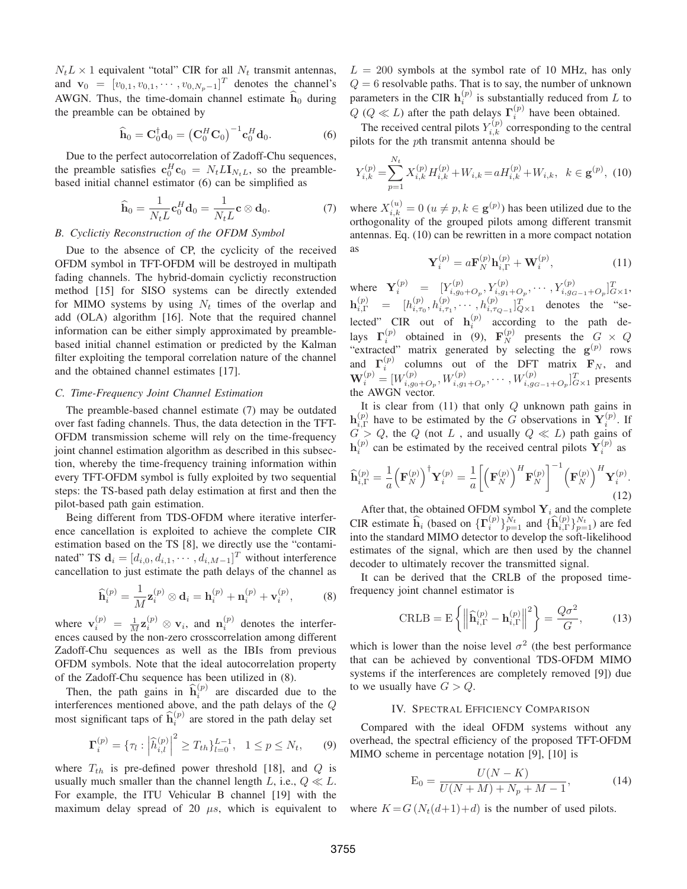$N_t L \times 1$  equivalent "total" CIR for all  $N_t$  transmit antennas, and  $\mathbf{v}_0 = [v_{0,1}, v_{0,1}, \cdots, v_{0,N_p-1}]^T$  denotes the channel's AWGN. Thus, the time-domain channel estimate  $h_0$  during the preamble can be obtained by

$$
\widehat{\mathbf{h}}_0 = \mathbf{C}_0^{\dagger} \mathbf{d}_0 = \left(\mathbf{C}_0^H \mathbf{C}_0\right)^{-1} \mathbf{c}_0^H \mathbf{d}_0. \tag{6}
$$

Due to the perfect autocorrelation of Zadoff-Chu sequences, the preamble satisfies  $\mathbf{c}_0^H \mathbf{c}_0 = N_t L \mathbf{I}_{N_t L}$ , so the preamble-<br>based initial abannal assumptor (6) can be simplified as based initial channel estimator (6) can be simplified as

$$
\widehat{\mathbf{h}}_0 = \frac{1}{N_t L} \mathbf{c}_0^H \mathbf{d}_0 = \frac{1}{N_t L} \mathbf{c} \otimes \mathbf{d}_0.
$$
 (7)

## *B. Cyclictiy Reconstruction of the OFDM Symbol*

Due to the absence of CP, the cyclicity of the received OFDM symbol in TFT-OFDM will be destroyed in multipath fading channels. The hybrid-domain cyclictiy reconstruction method [15] for SISO systems can be directly extended for MIMO systems by using  $N_t$  times of the overlap and add (OLA) algorithm [16]. Note that the required channel information can be either simply approximated by preamblebased initial channel estimation or predicted by the Kalman filter exploiting the temporal correlation nature of the channel and the obtained channel estimates [17].

#### *C. Time-Frequency Joint Channel Estimation*

The preamble-based channel estimate (7) may be outdated over fast fading channels. Thus, the data detection in the TFT-OFDM transmission scheme will rely on the time-frequency joint channel estimation algorithm as described in this subsection, whereby the time-frequency training information within every TFT-OFDM symbol is fully exploited by two sequential steps: the TS-based path delay estimation at first and then the pilot-based path gain estimation.

Being different from TDS-OFDM where iterative interference cancellation is exploited to achieve the complete CIR estimation based on the TS [8], we directly use the "contaminated" TS  $\mathbf{d}_i = [d_{i,0}, d_{i,1}, \cdots, d_{i,M-1}]^T$  without interference cancellation to just estimate the path delays of the channel as

$$
\widehat{\mathbf{h}}_i^{(p)} = \frac{1}{M} \mathbf{z}_i^{(p)} \otimes \mathbf{d}_i = \mathbf{h}_i^{(p)} + \mathbf{n}_i^{(p)} + \mathbf{v}_i^{(p)},\tag{8}
$$

where  $\mathbf{v}_i^{(p)} = \frac{1}{M} \mathbf{z}_i^{(p)} \otimes \mathbf{v}_i$ , and  $\mathbf{n}_i^{(p)}$  denotes the interfer-<br>ences caused by the non-zero crosscorrelation among different ences caused by the non-zero crosscorrelation among different Zadoff-Chu sequences as well as the IBIs from previous OFDM symbols. Note that the ideal autocorrelation property of the Zadoff-Chu sequence has been utilized in (8).

Then, the path gains in  $\hat{\mathbf{h}}_i^{(p)}$  are discarded due to the interferences mentioned above, and the path delays of the Q most significant taps of  $\hat{\mathbf{h}}_i^{(p)}$  are stored in the path delay set

$$
\Gamma_i^{(p)} = \{ \tau_l : \left| \widehat{h}_{i,l}^{(p)} \right|^2 \ge T_{th} \}_{l=0}^{L-1}, \quad 1 \le p \le N_t, \tag{9}
$$

where  $T_{th}$  is pre-defined power threshold [18], and  $Q$  is usually much smaller than the channel length L, i.e.,  $Q \ll L$ . For example, the ITU Vehicular B channel [19] with the maximum delay spread of 20  $\mu s$ , which is equivalent to

 $L = 200$  symbols at the symbol rate of 10 MHz, has only  $Q = 6$  resolvable paths. That is to say, the number of unknown parameters in the CIR  $h_i^{(p)}$  is substantially reduced from L to  $O(Q \ll L)$  ofter the path delays  $\Gamma^{(p)}$  have been obtained  $Q$  ( $Q \ll L$ ) after the path delays  $\Gamma_i^{(p)}$  have been obtained.<br>The received central pilots  $V_p^{(p)}$  corresponding to the central

The received central pilots  $Y_{i,k}^{(p)}$  corresponding to the central<br>ots for the oth transmit antenna should be pilots for the pth transmit antenna should be

$$
Y_{i,k}^{(p)} = \sum_{p=1}^{N_t} X_{i,k}^{(p)} H_{i,k}^{(p)} + W_{i,k} = a H_{i,k}^{(p)} + W_{i,k}, \quad k \in \mathbf{g}^{(p)}, \tag{10}
$$

where  $X_{i,k}^{(u)} = 0$  ( $u \neq p, k \in \mathbf{g}^{(p)}$ ) has been utilized due to the orthogonality of the grouned pilots among different transmit orthogonality of the grouped pilots among different transmit antennas. Eq. (10) can be rewritten in a more compact notation as

$$
\mathbf{Y}_i^{(p)} = a \mathbf{F}_N^{(p)} \mathbf{h}_{i,\Gamma}^{(p)} + \mathbf{W}_i^{(p)},\tag{11}
$$

where  $\mathbf{Y}_i^{(p)} = [Y_{i,g_0+O_p}^{(p)}, Y_{i,g_1+O_p}^{(p)}, \cdots, Y_{i,g_{G-1}+O_p}^{(p)}]_{G\times 1}^T, \ \mathbf{h}_{i,\Gamma}^{(p)} = [h_{i,\tau_0}^{(p)}, h_{i,\tau_1}^{(p)}, \cdots, h_{i,\tau_{Q-1}}^{(p)}]_{G\times 1}^T$  denotes the "selected" CIR out of  $\mathbf{h}_i^{(p)}$  according to the path de-<br>lays  $\mathbf{\Gamma}_i^{(p)}$  obtained in (9),  $\mathbf{F}_N^{(p)}$  presents the  $G \times Q$ <br>"extracted" matrix generated by selecting the  $\mathbf{g}^{(p)}$  rows and  $\Gamma_i^{(p)}$  columns out of the DFT matrix  $\mathbf{F}_N$ , and  $\mathbf{W}_i^{(p)} = [W_{i,g_0+O_p}^{(p)}, W_{i,g_1+O_p}^{(p)}, \cdots, W_{i,g_{G-1}+O_p}^{(p)}]_{G\times 1}^T$  presents the AWGN vector.

It is clear from  $(11)$  that only  $Q$  unknown path gains in **h**(p) have to be estimated by the G observations in  $Y_i^{(p)}$ . If  $G \geq O$  the Q (pot L and usually  $O \ll L$ ) path gains of  $G > Q$ , the Q (not L, and usually  $Q \ll L$ ) path gains of  $\mathbf{h}_i^{(p)}$  can be estimated by the received central pilots  $\mathbf{Y}_i^{(p)}$  as

$$
\widehat{\mathbf{h}}_{i,\Gamma}^{(p)} = \frac{1}{a} \left( \mathbf{F}_N^{(p)} \right)^{\dagger} \mathbf{Y}_i^{(p)} = \frac{1}{a} \left[ \left( \mathbf{F}_N^{(p)} \right)^H \mathbf{F}_N^{(p)} \right]^{-1} \left( \mathbf{F}_N^{(p)} \right)^H \mathbf{Y}_i^{(p)}.
$$
\n(12)

After that, the obtained OFDM symbol  $Y_i$  and the complete CIR estimate  $\widehat{\mathbf{h}}_i$  (based on  $\{\mathbf{\Gamma}_i^{(p)}\}_{p=1}^{N_t}$  and  $\{\widehat{\mathbf{h}}_{i,\Gamma}^{(p)}\}_{p=1}^{N_t}$ ) are fed<br>into the standard MIMO detector to develop the soft-likelihood into the standard MIMO detector to develop the soft-likelihood estimates of the signal, which are then used by the channel decoder to ultimately recover the transmitted signal.

It can be derived that the CRLB of the proposed timefrequency joint channel estimator is

$$
\text{CRLB} = \mathcal{E}\left\{ \left\| \widehat{\mathbf{h}}_{i,\Gamma}^{(p)} - \mathbf{h}_{i,\Gamma}^{(p)} \right\|^2 \right\} = \frac{Q\sigma^2}{G},\tag{13}
$$

which is lower than the noise level  $\sigma^2$  (the best performance that can be achieved by conventional TDS-OFDM MIMO systems if the interferences are completely removed [9]) due to we usually have  $G > Q$ .

## IV. SPECTRAL EFFICIENCY COMPARISON

Compared with the ideal OFDM systems without any overhead, the spectral efficiency of the proposed TFT-OFDM MIMO scheme in percentage notation [9], [10] is

$$
E_0 = \frac{U(N - K)}{U(N + M) + N_p + M - 1},
$$
\n(14)

where  $K = G(N_t(d+1)+d)$  is the number of used pilots.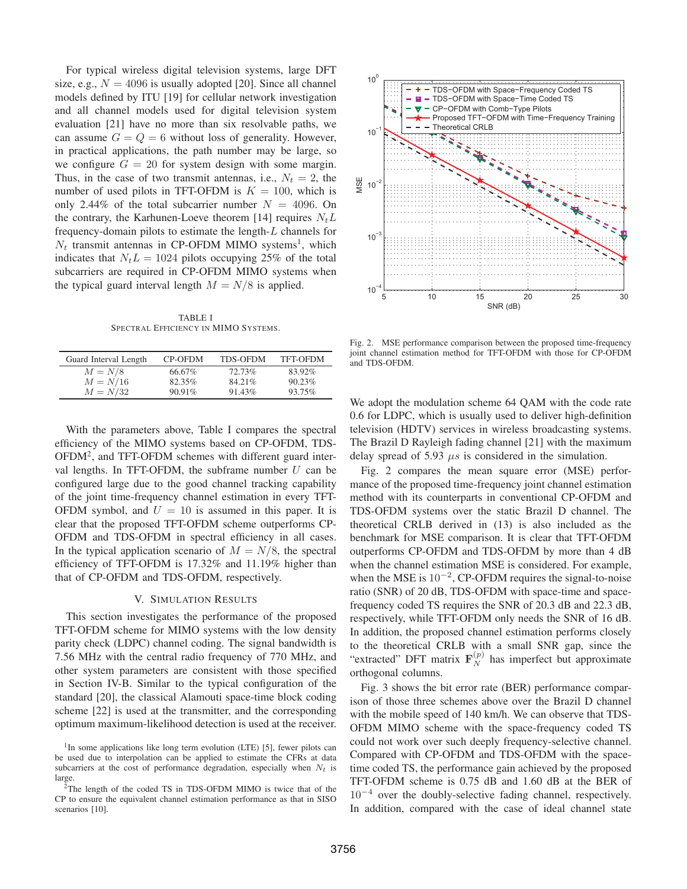For typical wireless digital television systems, large DFT size, e.g.,  $N = 4096$  is usually adopted [20]. Since all channel models defined by ITU [19] for cellular network investigation and all channel models used for digital television system evaluation [21] have no more than six resolvable paths, we can assume  $G = Q = 6$  without loss of generality. However, in practical applications, the path number may be large, so we configure  $G = 20$  for system design with some margin. Thus, in the case of two transmit antennas, i.e.,  $N_t = 2$ , the number of used pilots in TFT-OFDM is  $K = 100$ , which is only 2.44% of the total subcarrier number  $N = 4096$ . On the contrary, the Karhunen-Loeve theorem [14] requires  $N<sub>t</sub>L$ frequency-domain pilots to estimate the length-L channels for  $N_t$  transmit antennas in CP-OFDM MIMO systems<sup>1</sup>, which indicates that  $N_tL = 1024$  pilots occupying 25% of the total subcarriers are required in CP-OFDM MIMO systems when the typical guard interval length  $M = N/8$  is applied.

TABLE I SPECTRAL EFFICIENCY IN MIMO SYSTEMS.

| Guard Interval Length | CP-OFDM   | <b>TDS-OFDM</b> | TFT-OFDM  |
|-----------------------|-----------|-----------------|-----------|
| $M = N/8$             | 66.67%    | 72.73%          | 83.92%    |
| $M = N/16$            | 82.35%    | 84.21%          | $90.23\%$ |
| $M = N/32$            | $90.91\%$ | $91.43\%$       | $93.75\%$ |

With the parameters above, Table I compares the spectral efficiency of the MIMO systems based on CP-OFDM, TDS-OFDM2, and TFT-OFDM schemes with different guard interval lengths. In TFT-OFDM, the subframe number  $U$  can be configured large due to the good channel tracking capability of the joint time-frequency channel estimation in every TFT-OFDM symbol, and  $U = 10$  is assumed in this paper. It is clear that the proposed TFT-OFDM scheme outperforms CP-OFDM and TDS-OFDM in spectral efficiency in all cases. In the typical application scenario of  $M = N/8$ , the spectral efficiency of TFT-OFDM is 17.32% and 11.19% higher than that of CP-OFDM and TDS-OFDM, respectively.

## V. SIMULATION RESULTS

This section investigates the performance of the proposed TFT-OFDM scheme for MIMO systems with the low density parity check (LDPC) channel coding. The signal bandwidth is 7.56 MHz with the central radio frequency of 770 MHz, and other system parameters are consistent with those specified in Section IV-B. Similar to the typical configuration of the standard [20], the classical Alamouti space-time block coding scheme [22] is used at the transmitter, and the corresponding optimum maximum-likelihood detection is used at the receiver.



Fig. 2. MSE performance comparison between the proposed time-frequency joint channel estimation method for TFT-OFDM with those for CP-OFDM and TDS-OFDM.

We adopt the modulation scheme 64 QAM with the code rate 0.6 for LDPC, which is usually used to deliver high-definition television (HDTV) services in wireless broadcasting systems. The Brazil D Rayleigh fading channel [21] with the maximum delay spread of 5.93  $\mu s$  is considered in the simulation.

Fig. 2 compares the mean square error (MSE) performance of the proposed time-frequency joint channel estimation method with its counterparts in conventional CP-OFDM and TDS-OFDM systems over the static Brazil D channel. The theoretical CRLB derived in (13) is also included as the benchmark for MSE comparison. It is clear that TFT-OFDM outperforms CP-OFDM and TDS-OFDM by more than 4 dB when the channel estimation MSE is considered. For example, when the MSE is  $10^{-2}$ , CP-OFDM requires the signal-to-noise ratio (SNR) of 20 dB, TDS-OFDM with space-time and spacefrequency coded TS requires the SNR of 20.3 dB and 22.3 dB, respectively, while TFT-OFDM only needs the SNR of 16 dB. In addition, the proposed channel estimation performs closely to the theoretical CRLB with a small SNR gap, since the "extracted" DFT matrix  $\mathbf{F}_N^{(p)}$  has imperfect but approximate orthogonal columns orthogonal columns.

Fig. 3 shows the bit error rate (BER) performance comparison of those three schemes above over the Brazil D channel with the mobile speed of 140 km/h. We can observe that TDS-OFDM MIMO scheme with the space-frequency coded TS could not work over such deeply frequency-selective channel. Compared with CP-OFDM and TDS-OFDM with the spacetime coded TS, the performance gain achieved by the proposed TFT-OFDM scheme is 0.75 dB and 1.60 dB at the BER of 10−<sup>4</sup> over the doubly-selective fading channel, respectively. In addition, compared with the case of ideal channel state

<sup>&</sup>lt;sup>1</sup>In some applications like long term evolution (LTE) [5], fewer pilots can be used due to interpolation can be applied to estimate the CFRs at data subcarriers at the cost of performance degradation, especially when  $N_t$  is large.

<sup>&</sup>lt;sup>2</sup>The length of the coded TS in TDS-OFDM MIMO is twice that of the CP to ensure the equivalent channel estimation performance as that in SISO scenarios [10].